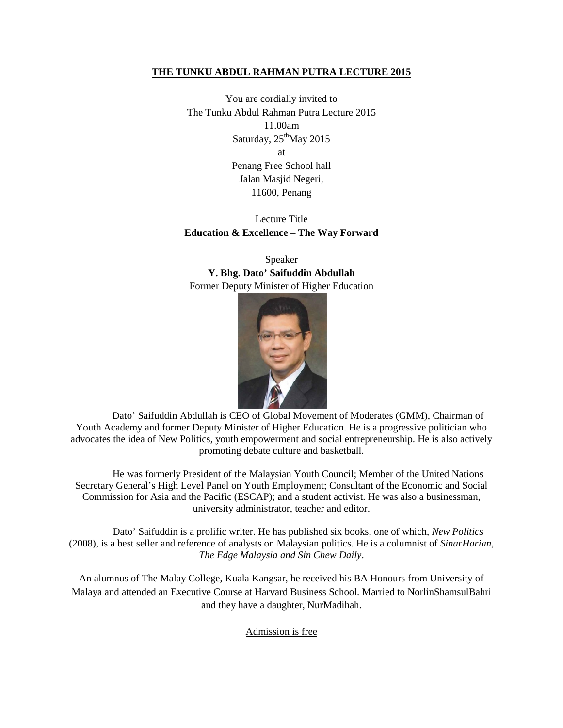## **THE TUNKU ABDUL RAHMAN PUTRA LECTURE 2015**

You are cordially invited to The Tunku Abdul Rahman Putra Lecture 2015 11.00am Saturday,  $25<sup>th</sup>$ May 2015 at Penang Free School hall Jalan Masjid Negeri, 11600, Penang

## Lecture Title **Education & Excellence – The Way Forward**

Speaker **Y. Bhg. Dato' Saifuddin Abdullah** Former Deputy Minister of Higher Education



Dato' Saifuddin Abdullah is CEO of Global Movement of Moderates (GMM), Chairman of Youth Academy and former Deputy Minister of Higher Education. He is a progressive politician who advocates the idea of New Politics, youth empowerment and social entrepreneurship. He is also actively promoting debate culture and basketball.

He was formerly President of the Malaysian Youth Council; Member of the United Nations Secretary General's High Level Panel on Youth Employment; Consultant of the Economic and Social Commission for Asia and the Pacific (ESCAP); and a student activist. He was also a businessman, university administrator, teacher and editor.

Dato' Saifuddin is a prolific writer. He has published six books, one of which, *New Politics* (2008), is a best seller and reference of analysts on Malaysian politics. He is a columnist of *SinarHarian, The Edge Malaysia and Sin Chew Daily*.

An alumnus of The Malay College, Kuala Kangsar, he received his BA Honours from University of Malaya and attended an Executive Course at Harvard Business School. Married to NorlinShamsulBahri and they have a daughter, NurMadihah.

Admission is free